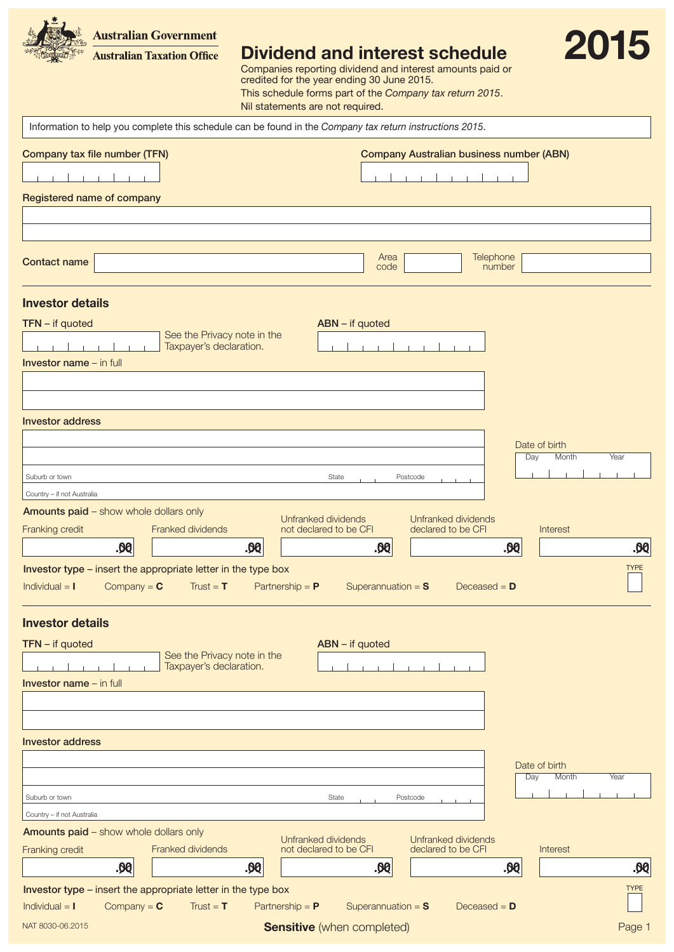**Australian Government Australian Taxation Office** 



Dividend and interest schedule

Companies reporting dividend and interest amounts paid or credited for the year ending 30 June 2015. This schedule forms part of the *Company tax return 2015*. Nil statements are not required.

NAT 8030-06.2015 **Sensitive** (when completed) **Sensitive** (when completed) **Sensitive** (when completed) **PAGE 1** Page 1 Information to help you complete this schedule can be found in the *Company tax return instructions 2015*. Registered name of company **Contact name** Area code **Telephone** number Company tax file number (TFN) Company Australian business number (ABN) Investor address Investor details Investor name – in full Investor type – insert the appropriate letter in the type box Individual = I Company =  $C$  Trust = T Partnership = P Superannuation = S Deceased = D TYPE Amounts paid – show whole dollars only Franked dividends Unfranked dividends Franking credit **Example 2** Franked dividends and the clared to be CFI and declared to be CFI Unfranked dividends<br>declared to be CFI .00 Country – if not Australia Suburb or town **State** Postcode **Provides State** Postcode Day Month TFN – if quoted ABN – if quoted ABN – if quoted ABN – if quoted ABN – if quoted ABN – if quoted ABN – if quoted ABN – if  $\alpha$ Date of birth .00 .00 .00 .00 Interest Investor address Investor details Investor name – in full Investor type – insert the appropriate letter in the type box Individual = I Company = C Trust = T Partnership = P Superannuation = S Deceased = D TYPE Amounts paid – show whole dollars only Franked dividends Unfranked dividends Franking credit **Example 2** Franked dividends The Material of declared to be CFI declared to be CFI Unfranked dividends<br>declared to be CFI .00 Day Month Yea TFN – if quoted ABN – if quoted ABN – if quoted ABN – if quoted ABN – if quoted ABN – if quoted ABN – if quoted ABN – if  $\alpha$ Date of birth .00 .00 .00 .00 Interest Country – if not Australia Suburb or town Postcode Postcode Postcode Postcode Postcode Postcode Postcode Postcode Postcode Postcode Postcode See the Privacy note in the Taxpayer's declaration. See the Privacy note in the Taxpayer's declaration.